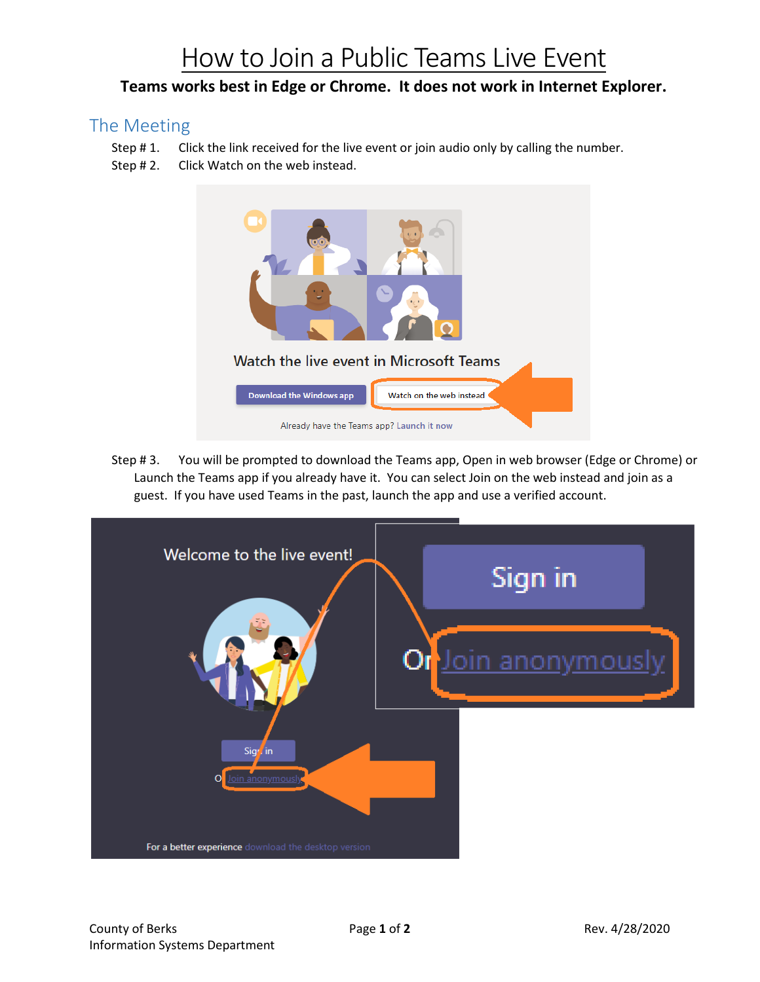## How to Join a Public Teams Live Event

## **Teams works best in Edge or Chrome. It does not work in Internet Explorer.**

## The Meeting

- Step # 1. Click the link received for the live event or join audio only by calling the number.
- Step #2. Click Watch on the web instead.



Step # 3. You will be prompted to download the Teams app, Open in web browser (Edge or Chrome) or Launch the Teams app if you already have it. You can select Join on the web instead and join as a guest. If you have used Teams in the past, launch the app and use a verified account.